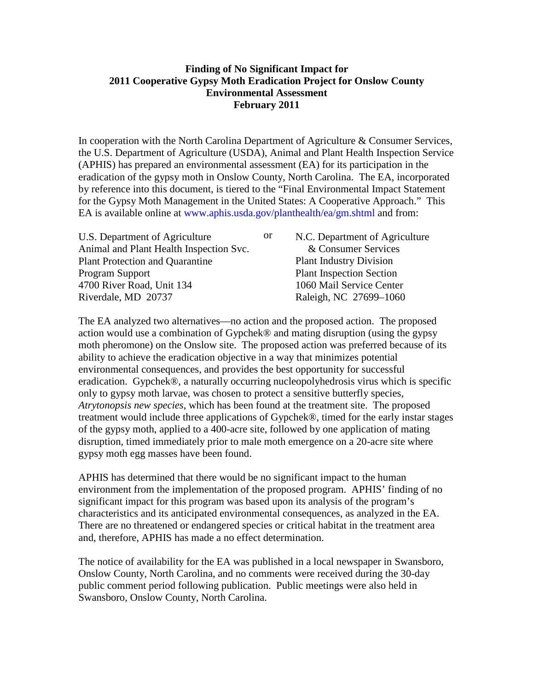## **Finding of No Significant Impact for 2011 Cooperative Gypsy Moth Eradication Project for Onslow County Environmental Assessment February 2011**

In cooperation with the North Carolina Department of Agriculture & Consumer Services, the U.S. Department of Agriculture (USDA), Animal and Plant Health Inspection Service (APHIS) has prepared an environmental assessment (EA) for its participation in the eradication of the gypsy moth in Onslow County, North Carolina. The EA, incorporated by reference into this document, is tiered to the "Final Environmental Impact Statement for the Gypsy Moth Management in the United States: A Cooperative Approach." This EA is available online at [www.aphis.usda.gov/planthealth/ea/gm.shtml](http://www.aphis.usda.gov/planthealth/ea/gm.shtml) and from:

| N.C. Department of Agriculture |
|--------------------------------|
|                                |
|                                |
|                                |
|                                |
|                                |
|                                |

The EA analyzed two alternatives—no action and the proposed action. The proposed action would use a combination of Gypchek® and mating disruption (using the gypsy moth pheromone) on the Onslow site. The proposed action was preferred because of its ability to achieve the eradication objective in a way that minimizes potential environmental consequences, and provides the best opportunity for successful eradication. Gypchek®, a naturally occurring nucleopolyhedrosis virus which is specific only to gypsy moth larvae, was chosen to protect a sensitive butterfly species, *Atrytonopsis new species*, which has been found at the treatment site. The proposed treatment would include three applications of Gypchek®, timed for the early instar stages of the gypsy moth, applied to a 400-acre site, followed by one application of mating disruption, timed immediately prior to male moth emergence on a 20-acre site where gypsy moth egg masses have been found.

APHIS has determined that there would be no significant impact to the human environment from the implementation of the proposed program. APHIS' finding of no significant impact for this program was based upon its analysis of the program's characteristics and its anticipated environmental consequences, as analyzed in the EA. There are no threatened or endangered species or critical habitat in the treatment area and, therefore, APHIS has made a no effect determination.

The notice of availability for the EA was published in a local newspaper in Swansboro, Onslow County, North Carolina, and no comments were received during the 30-day public comment period following publication. Public meetings were also held in Swansboro, Onslow County, North Carolina.